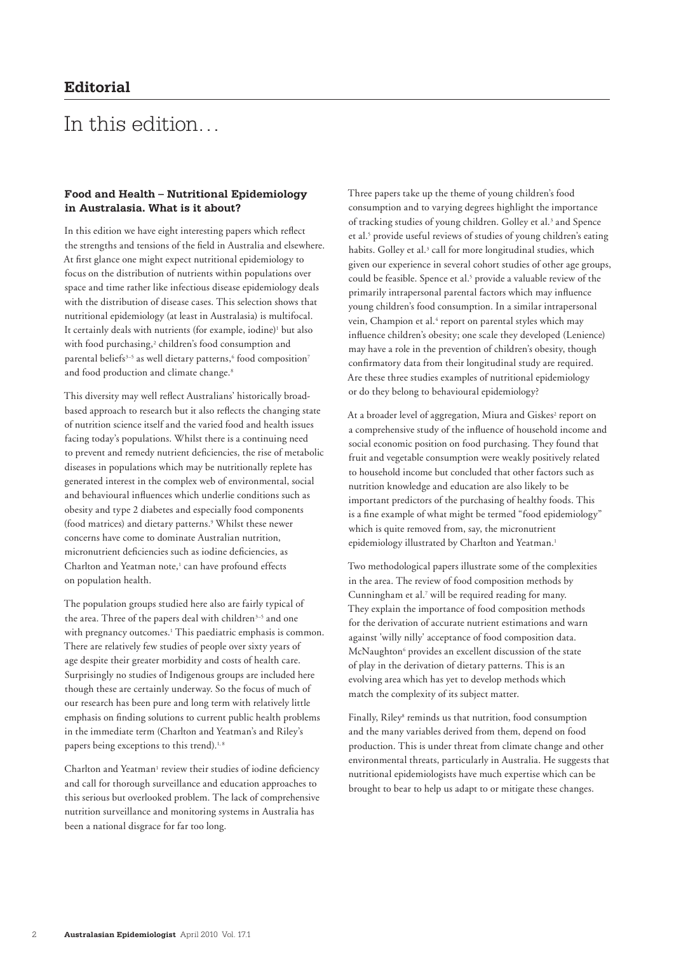## In this edition…

## **Food and Health – Nutritional Epidemiology in Australasia. What is it about?**

In this edition we have eight interesting papers which reflect the strengths and tensions of the field in Australia and elsewhere. At first glance one might expect nutritional epidemiology to focus on the distribution of nutrients within populations over space and time rather like infectious disease epidemiology deals with the distribution of disease cases. This selection shows that nutritional epidemiology (at least in Australasia) is multifocal. It certainly deals with nutrients (for example, iodine)<sup>1</sup> but also with food purchasing,<sup>2</sup> children's food consumption and parental beliefs $^{3-5}$  as well dietary patterns, $^6$  food composition $^7$ and food production and climate change.<sup>8</sup>

This diversity may well reflect Australians' historically broadbased approach to research but it also reflects the changing state of nutrition science itself and the varied food and health issues facing today's populations. Whilst there is a continuing need to prevent and remedy nutrient deficiencies, the rise of metabolic diseases in populations which may be nutritionally replete has generated interest in the complex web of environmental, social and behavioural influences which underlie conditions such as obesity and type 2 diabetes and especially food components (food matrices) and dietary patterns.<sup>9</sup> Whilst these newer concerns have come to dominate Australian nutrition, micronutrient deficiencies such as iodine deficiencies, as Charlton and Yeatman note,<sup>1</sup> can have profound effects on population health.

The population groups studied here also are fairly typical of the area. Three of the papers deal with children<sup>3-5</sup> and one with pregnancy outcomes.<sup>1</sup> This paediatric emphasis is common. There are relatively few studies of people over sixty years of age despite their greater morbidity and costs of health care. Surprisingly no studies of Indigenous groups are included here though these are certainly underway. So the focus of much of our research has been pure and long term with relatively little emphasis on finding solutions to current public health problems in the immediate term (Charlton and Yeatman's and Riley's papers being exceptions to this trend).<sup>1,8</sup>

Charlton and Yeatman<sup>1</sup> review their studies of iodine deficiency and call for thorough surveillance and education approaches to this serious but overlooked problem. The lack of comprehensive nutrition surveillance and monitoring systems in Australia has been a national disgrace for far too long.

Three papers take up the theme of young children's food consumption and to varying degrees highlight the importance of tracking studies of young children. Golley et al.<sup>3</sup> and Spence et al.<sup>5</sup> provide useful reviews of studies of young children's eating habits. Golley et al.<sup>3</sup> call for more longitudinal studies, which given our experience in several cohort studies of other age groups, could be feasible. Spence et al.<sup>5</sup> provide a valuable review of the primarily intrapersonal parental factors which may influence young children's food consumption. In a similar intrapersonal vein, Champion et al.<sup>4</sup> report on parental styles which may influence children's obesity; one scale they developed (Lenience) may have a role in the prevention of children's obesity, though confirmatory data from their longitudinal study are required. Are these three studies examples of nutritional epidemiology or do they belong to behavioural epidemiology?

At a broader level of aggregation, Miura and Giskes<sup>2</sup> report on a comprehensive study of the influence of household income and social economic position on food purchasing. They found that fruit and vegetable consumption were weakly positively related to household income but concluded that other factors such as nutrition knowledge and education are also likely to be important predictors of the purchasing of healthy foods. This is a fine example of what might be termed "food epidemiology" which is quite removed from, say, the micronutrient epidemiology illustrated by Charlton and Yeatman.<sup>1</sup>

Two methodological papers illustrate some of the complexities in the area. The review of food composition methods by Cunningham et al.<sup>7</sup> will be required reading for many. They explain the importance of food composition methods for the derivation of accurate nutrient estimations and warn against 'willy nilly' acceptance of food composition data. McNaughton<sup>6</sup> provides an excellent discussion of the state of play in the derivation of dietary patterns. This is an evolving area which has yet to develop methods which match the complexity of its subject matter.

Finally, Riley<sup>8</sup> reminds us that nutrition, food consumption and the many variables derived from them, depend on food production. This is under threat from climate change and other environmental threats, particularly in Australia. He suggests that nutritional epidemiologists have much expertise which can be brought to bear to help us adapt to or mitigate these changes.